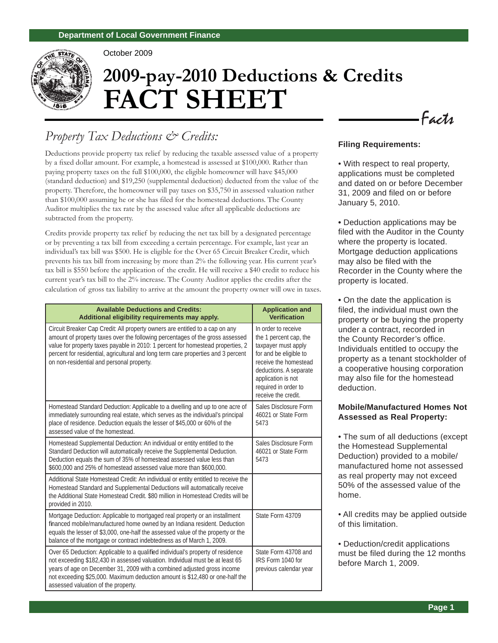

October 2009

# **2009-pay-2010 Deductions & Credits FACT SHEET**

# *Property Tax Deductions & Credits:*

Deductions provide property tax relief by reducing the taxable assessed value of a property by a fixed dollar amount. For example, a homestead is assessed at \$100,000. Rather than paying property taxes on the full \$100,000, the eligible homeowner will have \$45,000 (standard deduction) and \$19,250 (supplemental deduction) deducted from the value of the property. Therefore, the homeowner will pay taxes on \$35,750 in assessed valuation rather than \$100,000 assuming he or she has filed for the homestead deductions. The County Auditor multiplies the tax rate by the assessed value after all applicable deductions are subtracted from the property.

Credits provide property tax relief by reducing the net tax bill by a designated percentage or by preventing a tax bill from exceeding a certain percentage. For example, last year an individual's tax bill was \$500. He is eligible for the Over 65 Circuit Breaker Credit, which prevents his tax bill from increasing by more than 2% the following year. His current year's tax bill is \$550 before the application of the credit. He will receive a \$40 credit to reduce his current year's tax bill to the 2% increase. The County Auditor applies the credits after the calculation of gross tax liability to arrive at the amount the property owner will owe in taxes.

| <b>Available Deductions and Credits:</b><br>Additional eligibility requirements may apply.                                                                                                                                                                                                                                                                                         | <b>Application and</b><br><b>Verification</b>                                                                                                                                                                          |
|------------------------------------------------------------------------------------------------------------------------------------------------------------------------------------------------------------------------------------------------------------------------------------------------------------------------------------------------------------------------------------|------------------------------------------------------------------------------------------------------------------------------------------------------------------------------------------------------------------------|
| Circuit Breaker Cap Credit: All property owners are entitled to a cap on any<br>amount of property taxes over the following percentages of the gross assessed<br>value for property taxes payable in 2010: 1 percent for homestead properties, 2<br>percent for residential, agricultural and long term care properties and 3 percent<br>on non-residential and personal property. | In order to receive<br>the 1 percent cap, the<br>taxpayer must apply<br>for and be eligible to<br>receive the homestead<br>deductions. A separate<br>application is not<br>required in order to<br>receive the credit. |
| Homestead Standard Deduction: Applicable to a dwelling and up to one acre of<br>immediately surrounding real estate, which serves as the individual's principal<br>place of residence. Deduction equals the lesser of \$45,000 or 60% of the<br>assessed value of the homestead.                                                                                                   | Sales Disclosure Form<br>46021 or State Form<br>5473                                                                                                                                                                   |
| Homestead Supplemental Deduction: An individual or entity entitled to the<br>Standard Deduction will automatically receive the Supplemental Deduction.<br>Deduction equals the sum of 35% of homestead assessed value less than<br>\$600,000 and 25% of homestead assessed value more than \$600,000.                                                                              | Sales Disclosure Form<br>46021 or State Form<br>5473                                                                                                                                                                   |
| Additional State Homestead Credit: An individual or entity entitled to receive the<br>Homestead Standard and Supplemental Deductions will automatically receive<br>the Additional State Homestead Credit, \$80 million in Homestead Credits will be<br>provided in 2010.                                                                                                           |                                                                                                                                                                                                                        |
| Mortgage Deduction: Applicable to mortgaged real property or an installment<br>financed mobile/manufactured home owned by an Indiana resident. Deduction<br>equals the lesser of \$3,000, one-half the assessed value of the property or the<br>balance of the mortgage or contract indebtedness as of March 1, 2009.                                                              | State Form 43709                                                                                                                                                                                                       |
| Over 65 Deduction: Applicable to a qualified individual's property of residence<br>not exceeding \$182,430 in assessed valuation. Individual must be at least 65<br>years of age on December 31, 2009 with a combined adjusted gross income<br>not exceeding \$25,000. Maximum deduction amount is \$12,480 or one-half the<br>assessed valuation of the property.                 | State Form 43708 and<br>IRS Form 1040 for<br>previous calendar year                                                                                                                                                    |

#### **Filing Requirements:**

• With respect to real property, applications must be completed and dated on or before December 31, 2009 and filed on or before January 5, 2010.

Facts

**•** Deduction applications may be filed with the Auditor in the County where the property is located. Mortgage deduction applications may also be filed with the Recorder in the County where the property is located.

**•** On the date the application is filed, the individual must own the property or be buying the property under a contract, recorded in the County Recorder's office. Individuals entitled to occupy the property as a tenant stockholder of a cooperative housing corporation may also file for the homestead deduction.

#### **Mobile/Manufactured Homes Not Assessed as Real Property:**

• The sum of all deductions (except the Homestead Supplemental Deduction) provided to a mobile/ manufactured home not assessed as real property may not exceed 50% of the assessed value of the home.

• All credits may be applied outside of this limitation.

• Deduction/credit applications must be filed during the 12 months before March 1, 2009.